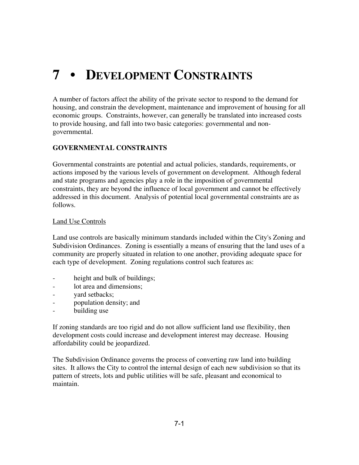# **7 • DEVELOPMENT CONSTRAINTS**

A number of factors affect the ability of the private sector to respond to the demand for housing, and constrain the development, maintenance and improvement of housing for all economic groups. Constraints, however, can generally be translated into increased costs to provide housing, and fall into two basic categories: governmental and nongovernmental.

# **GOVERNMENTAL CONSTRAINTS**

Governmental constraints are potential and actual policies, standards, requirements, or actions imposed by the various levels of government on development. Although federal and state programs and agencies play a role in the imposition of governmental constraints, they are beyond the influence of local government and cannot be effectively addressed in this document. Analysis of potential local governmental constraints are as follows.

#### Land Use Controls

Land use controls are basically minimum standards included within the City's Zoning and Subdivision Ordinances. Zoning is essentially a means of ensuring that the land uses of a community are properly situated in relation to one another, providing adequate space for each type of development. Zoning regulations control such features as:

- height and bulk of buildings;
- lot area and dimensions;
- vard setbacks:
- population density; and
- building use

If zoning standards are too rigid and do not allow sufficient land use flexibility, then development costs could increase and development interest may decrease. Housing affordability could be jeopardized.

The Subdivision Ordinance governs the process of converting raw land into building sites. It allows the City to control the internal design of each new subdivision so that its pattern of streets, lots and public utilities will be safe, pleasant and economical to maintain.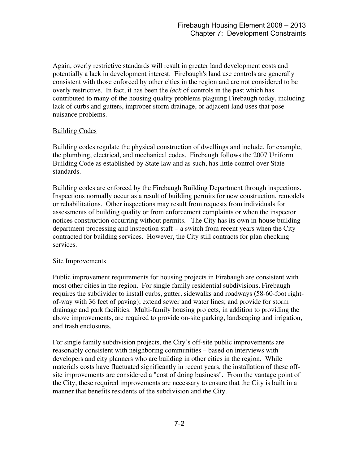Again, overly restrictive standards will result in greater land development costs and potentially a lack in development interest. Firebaugh's land use controls are generally consistent with those enforced by other cities in the region and are not considered to be overly restrictive. In fact, it has been the *lack* of controls in the past which has contributed to many of the housing quality problems plaguing Firebaugh today, including lack of curbs and gutters, improper storm drainage, or adjacent land uses that pose nuisance problems.

## Building Codes

Building codes regulate the physical construction of dwellings and include, for example, the plumbing, electrical, and mechanical codes. Firebaugh follows the 2007 Uniform Building Code as established by State law and as such, has little control over State standards.

Building codes are enforced by the Firebaugh Building Department through inspections. Inspections normally occur as a result of building permits for new construction, remodels or rehabilitations. Other inspections may result from requests from individuals for assessments of building quality or from enforcement complaints or when the inspector notices construction occurring without permits. The City has its own in-house building department processing and inspection staff – a switch from recent years when the City contracted for building services. However, the City still contracts for plan checking services.

## Site Improvements

Public improvement requirements for housing projects in Firebaugh are consistent with most other cities in the region. For single family residential subdivisions, Firebaugh requires the subdivider to install curbs, gutter, sidewalks and roadways (58-60-foot rightof-way with 36 feet of paving); extend sewer and water lines; and provide for storm drainage and park facilities. Multi-family housing projects, in addition to providing the above improvements, are required to provide on-site parking, landscaping and irrigation, and trash enclosures.

For single family subdivision projects, the City's off-site public improvements are reasonably consistent with neighboring communities – based on interviews with developers and city planners who are building in other cities in the region. While materials costs have fluctuated significantly in recent years, the installation of these offsite improvements are considered a "cost of doing business". From the vantage point of the City, these required improvements are necessary to ensure that the City is built in a manner that benefits residents of the subdivision and the City.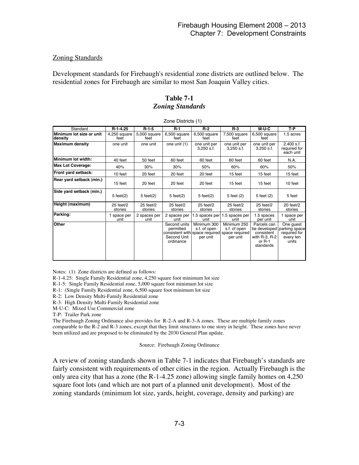#### Zoning Standards

Development standards for Firebaugh's residential zone districts are outlined below. The residential zones for Firebaugh are similar to most San Joaquin Valley cities.

## **Table 7-1** *Zoning Standards*

| Standard                            | $R-1-4.25$           | $R-1-5$              | $R-1$                                                 | $R-2$                                   | $R-3$                                                                                    | M-U-C                                                                    | T-P                                                                           |
|-------------------------------------|----------------------|----------------------|-------------------------------------------------------|-----------------------------------------|------------------------------------------------------------------------------------------|--------------------------------------------------------------------------|-------------------------------------------------------------------------------|
| Minimum lot size or unit<br>density | 4,250 square<br>feet | 5,000 square<br>feet | 6,500 square<br>feet                                  | 6,500 square<br>feet                    | 7,500 square<br>feet                                                                     | 6,500 square<br>feet                                                     | 1.5 acres                                                                     |
| <b>Maximum density</b>              | one unit             | one unit             | one unit (1)                                          | one unit per<br>$3.250$ s.f.            | one unit per<br>$3,250$ s.f.                                                             | one unit per<br>$3,250$ s.f.                                             | 2,400 s.f.<br>reauired for<br>each unit                                       |
| Minimum lot width:                  | 40 feet              | 50 feet              | 60 feet                                               | 60 feet                                 | 60 feet                                                                                  | 60 feet                                                                  | N.A.                                                                          |
| <b>Max Lot Coverage:</b>            | 40%                  | 30%                  | 30%                                                   | 50%                                     | 60%                                                                                      | 60%                                                                      | 50%                                                                           |
| Front yard setback:                 | 10 feet              | 20 feet              | 20 feet                                               | 20 feet                                 | 15 feet                                                                                  | 15 feet                                                                  | 15 feet                                                                       |
| Rear yard setback (min.)            | 15 feet              | 20 feet              | 20 feet                                               | 20 feet                                 | 15 feet                                                                                  | 15 feet                                                                  | 10 feet                                                                       |
| Side yard setback (min.)            | 5 feet $(2)$         | $5$ feet $(2)$       | $5 \text{ feet}(2)$                                   | $5$ feet $(2)$                          | 5 feet (2)                                                                               | 5 feet (2)                                                               | 5 feet                                                                        |
| Height (maximum)                    | 25 feet/2<br>stories | 25 feet/2<br>stories | 25 feet/2<br>stories                                  | 25 feet/2<br>stories                    | 25 feet/2<br>stories                                                                     | 25 feet/2<br>stories                                                     | 20 feet/2<br>stories                                                          |
| Parking:                            | 1 space per<br>unit  | 2 spaces per<br>unit | 2 spaces per<br>unit                                  | 1.5 spaces per<br>unit                  | 1.5 spaces per<br>unit                                                                   | 1.5 spaces<br>per unit                                                   | space per<br>unit                                                             |
| Other                               |                      |                      | Second units<br>permitted<br>Second Unit<br>ordinance | Minimum 300<br>s.f. of open<br>per unit | Minimum 250<br>s.f. of open<br>consistent with space required space required<br>per unit | Parcels can<br>consistent<br>with $R-3$ , $R-2$<br>or $R-1$<br>standards | One auest<br>be developed parking space<br>required for<br>every ten<br>units |

Zone Districts (1)

Notes: (1) Zone districts are defined as follows:

R-1-4.25: Single Family Residential zone, 4,250 square foot minimum lot size

R-1-5: Single Family Residential zone, 5,000 square foot minimum lot size

R-1: (Single Family Residential zone, 6,500 square foot minimum lot size

R-2: Low Density Multi-Family Residential zone

R-3: High Density Multi-Family Residential zone

M-U-C: Mixed Use Commercial zone

T-P: Trailer Park zone

The Firebaugh Zoning Ordinance also provides for R-2-A and R-3-A zones. These are multiple family zones comparable to the R-2 and R-3 zones, except that they limit structures to one story in height. These zones have never been utilized and are proposed to be eliminated by the 2030 General Plan update.

Source: Firebaugh Zoning Ordinance

A review of zoning standards shown in Table 7-1 indicates that Firebaugh's standards are fairly consistent with requirements of other cities in the region. Actually Firebaugh is the only area city that has a zone (the R-1-4.25 zone) allowing single family homes on 4,250 square foot lots (and which are not part of a planned unit development). Most of the zoning standards (minimum lot size, yards, height, coverage, density and parking) are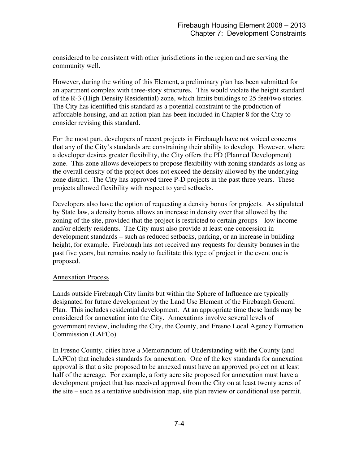considered to be consistent with other jurisdictions in the region and are serving the community well.

However, during the writing of this Element, a preliminary plan has been submitted for an apartment complex with three-story structures. This would violate the height standard of the R-3 (High Density Residential) zone, which limits buildings to 25 feet/two stories. The City has identified this standard as a potential constraint to the production of affordable housing, and an action plan has been included in Chapter 8 for the City to consider revising this standard.

For the most part, developers of recent projects in Firebaugh have not voiced concerns that any of the City's standards are constraining their ability to develop. However, where a developer desires greater flexibility, the City offers the PD (Planned Development) zone. This zone allows developers to propose flexibility with zoning standards as long as the overall density of the project does not exceed the density allowed by the underlying zone district. The City has approved three P-D projects in the past three years. These projects allowed flexibility with respect to yard setbacks.

Developers also have the option of requesting a density bonus for projects. As stipulated by State law, a density bonus allows an increase in density over that allowed by the zoning of the site, provided that the project is restricted to certain groups – low income and/or elderly residents. The City must also provide at least one concession in development standards – such as reduced setbacks, parking, or an increase in building height, for example. Firebaugh has not received any requests for density bonuses in the past five years, but remains ready to facilitate this type of project in the event one is proposed.

#### Annexation Process

Lands outside Firebaugh City limits but within the Sphere of Influence are typically designated for future development by the Land Use Element of the Firebaugh General Plan. This includes residential development. At an appropriate time these lands may be considered for annexation into the City. Annexations involve several levels of government review, including the City, the County, and Fresno Local Agency Formation Commission (LAFCo).

In Fresno County, cities have a Memorandum of Understanding with the County (and LAFCo) that includes standards for annexation. One of the key standards for annexation approval is that a site proposed to be annexed must have an approved project on at least half of the acreage. For example, a forty acre site proposed for annexation must have a development project that has received approval from the City on at least twenty acres of the site – such as a tentative subdivision map, site plan review or conditional use permit.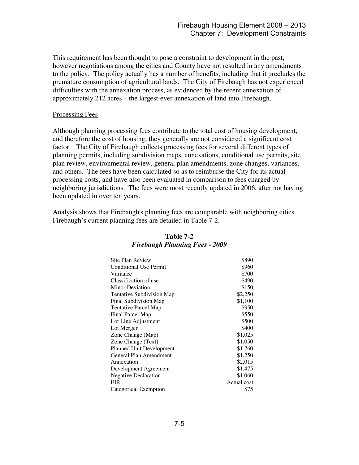This requirement has been thought to pose a constraint to development in the past, however negotiations among the cities and County have not resulted in any amendments to the policy. The policy actually has a number of benefits, including that it precludes the premature consumption of agricultural lands. The City of Firebaugh has not experienced difficulties with the annexation process, as evidenced by the recent annexation of approximately 212 acres – the largest-ever annexation of land into Firebaugh.

#### Processing Fees

Although planning processing fees contribute to the total cost of housing development, and therefore the cost of housing, they generally are not considered a significant cost factor. The City of Firebaugh collects processing fees for several different types of planning permits, including subdivision maps, annexations, conditional use permits, site plan review, environmental review, general plan amendments, zone changes, variances, and others. The fees have been calculated so as to reimburse the City for its actual processing costs, and have also been evaluated in comparison to fees charged by neighboring jurisdictions. The fees were most recently updated in 2006, after not having been updated in over ten years.

Analysis shows that Firebaugh's planning fees are comparable with neighboring cities. Firebaugh's current planning fees are detailed in Table 7-2.

| Site Plan Review          | \$890       |
|---------------------------|-------------|
| Conditional Use Permit    | \$960       |
| Variance                  | \$700       |
| Classification of use     | \$490       |
| Minor Deviation           | \$150       |
| Tentative Subdivision Map | \$2,250     |
| Final Subdivision Map     | \$1,100     |
| Tentative Parcel Map      | \$950       |
| Final Parcel Map          | \$550       |
| Lot Line Adjustment       | \$500       |
| Lot Merger                | \$400       |
| Zone Change (Map)         | \$1,025     |
| Zone Change (Text)        | \$1,050     |
| Planned Unit Development  | \$1,760     |
| General Plan Amendment    | \$1,250     |
| Annexation                | \$2,015     |
| Development Agreement     | \$1,475     |
| Negative Declaration      | \$1,060     |
| EIR                       | Actual cost |
| Categorical Exemption     | \$75        |

# **Table 7-2** *Firebaugh Planning Fees - 2009*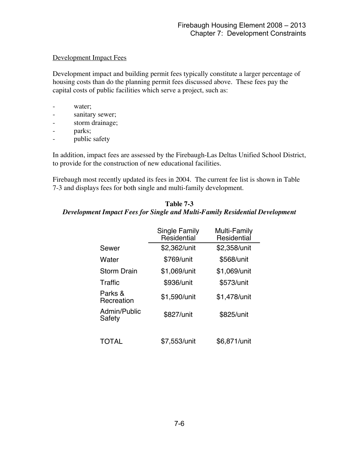## Development Impact Fees

Development impact and building permit fees typically constitute a larger percentage of housing costs than do the planning permit fees discussed above. These fees pay the capital costs of public facilities which serve a project, such as:

- water;
- sanitary sewer;
- storm drainage;
- parks;
- public safety

In addition, impact fees are assessed by the Firebaugh-Las Deltas Unified School District, to provide for the construction of new educational facilities.

Firebaugh most recently updated its fees in 2004. The current fee list is shown in Table 7-3 and displays fees for both single and multi-family development.

# **Table 7-3** *Development Impact Fees for Single and Multi-Family Residential Development*

|                        | <b>Single Family</b><br>Residential | Multi-Family<br>Residential |
|------------------------|-------------------------------------|-----------------------------|
| Sewer                  | \$2,362/unit                        | \$2,358/unit                |
| Water                  | \$769/unit                          | \$568/unit                  |
| <b>Storm Drain</b>     | \$1,069/unit                        | \$1,069/unit                |
| Traffic                | \$936/unit                          | \$573/unit                  |
| Parks &<br>Recreation  | \$1,590/unit                        | \$1,478/unit                |
| Admin/Public<br>Safety | \$827/unit                          | \$825/unit                  |
| TOTAL                  | \$7,553/unit                        | \$6,871/unit                |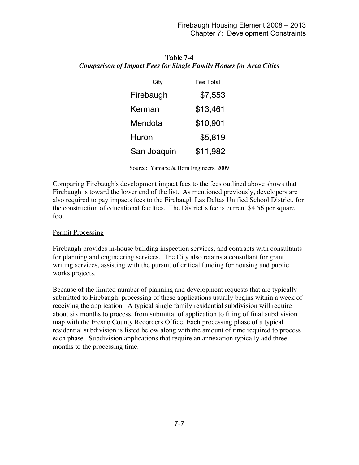# **Table 7-4** *Comparison of Impact Fees for Single Family Homes for Area Cities*

| City        | <b>Fee Total</b> |
|-------------|------------------|
| Firebaugh   | \$7,553          |
| Kerman      | \$13,461         |
| Mendota     | \$10,901         |
| Huron       | \$5,819          |
| San Joaquin | \$11,982         |

Source: Yamabe & Horn Engineers, 2009

Comparing Firebaugh's development impact fees to the fees outlined above shows that Firebaugh is toward the lower end of the list. As mentioned previously, developers are also required to pay impacts fees to the Firebaugh Las Deltas Unified School District, for the construction of educational facilties. The District's fee is current \$4.56 per square foot.

### Permit Processing

Firebaugh provides in-house building inspection services, and contracts with consultants for planning and engineering services. The City also retains a consultant for grant writing services, assisting with the pursuit of critical funding for housing and public works projects.

Because of the limited number of planning and development requests that are typically submitted to Firebaugh, processing of these applications usually begins within a week of receiving the application. A typical single family residential subdivision will require about six months to process, from submittal of application to filing of final subdivision map with the Fresno County Recorders Office. Each processing phase of a typical residential subdivision is listed below along with the amount of time required to process each phase. Subdivision applications that require an annexation typically add three months to the processing time.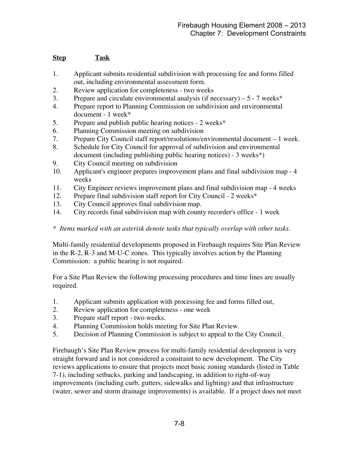# **Step Task**

- 1. Applicant submits residential subdivision with processing fee and forms filled out, including environmental assessment form.
- 2. Review application for completeness two weeks
- 3. Prepare and circulate environmental analysis (if necessary)  $-5 7$  weeks\*
- 4. Prepare report to Planning Commission on subdivision and environmental document - 1 week\*
- 5. Prepare and publish public hearing notices 2 weeks\*
- 6. Planning Commission meeting on subdivision
- 7. Prepare City Council staff report/resolutions/environmental document 1 week.
- 8. Schedule for City Council for approval of subdivision and environmental document (including publishing public hearing notices) - 3 weeks\*)
- 9. City Council meeting on subdivision
- 10. Applicant's engineer prepares improvement plans and final subdivision map 4 weeks
- 11. City Engineer reviews improvement plans and final subdivision map 4 weeks
- 12. Prepare final subdivision staff report for City Council 2 weeks\*
- 13. City Council approves final subdivision map.
- 14. City records final subdivision map with county recorder's office 1 week

*\* Items marked with an asterisk denote tasks that typically overlap with other tasks.*

Multi-family residential developments proposed in Firebaugh requires Site Plan Review in the R-2, R-3 and M-U-C zones. This typically involves action by the Planning Commission: a public hearing is not required.

For a Site Plan Review the following processing procedures and time lines are usually required.

- 1. Applicant submits application with processing fee and forms filled out,
- 2. Review application for completeness one week
- 3. Prepare staff report two weeks.
- 4. Planning Commission holds meeting for Site Plan Review.
- 5. Decision of Planning Commission is subject to appeal to the City Council.

Firebaugh's Site Plan Review process for multi-family residential development is very straight forward and is not considered a constraint to new development. The City reviews applications to ensure that projects meet basic zoning standards (listed in Table 7-1), including setbacks, parking and landscaping, in addition to right-of-way improvements (including curb, gutters, sidewalks and lighting) and that infrastructure (water, sewer and storm drainage improvements) is available. If a project does not meet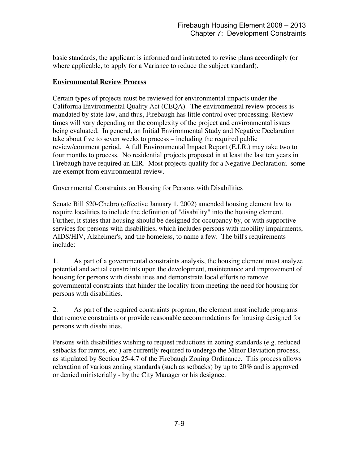basic standards, the applicant is informed and instructed to revise plans accordingly (or where applicable, to apply for a Variance to reduce the subject standard).

## **Environmental Review Process**

Certain types of projects must be reviewed for environmental impacts under the California Environmental Quality Act (CEQA). The environmental review process is mandated by state law, and thus, Firebaugh has little control over processing. Review times will vary depending on the complexity of the project and environmental issues being evaluated. In general, an Initial Environmental Study and Negative Declaration take about five to seven weeks to process – including the required public review/comment period. A full Environmental Impact Report (E.I.R.) may take two to four months to process. No residential projects proposed in at least the last ten years in Firebaugh have required an EIR. Most projects qualify for a Negative Declaration; some are exempt from environmental review.

## Governmental Constraints on Housing for Persons with Disabilities

Senate Bill 520-Chebro (effective January 1, 2002) amended housing element law to require localities to include the definition of "disability" into the housing element. Further, it states that housing should be designed for occupancy by, or with supportive services for persons with disabilities, which includes persons with mobility impairments, AIDS/HIV, Alzheimer's, and the homeless, to name a few. The bill's requirements include:

1. As part of a governmental constraints analysis, the housing element must analyze potential and actual constraints upon the development, maintenance and improvement of housing for persons with disabilities and demonstrate local efforts to remove governmental constraints that hinder the locality from meeting the need for housing for persons with disabilities.

2. As part of the required constraints program, the element must include programs that remove constraints or provide reasonable accommodations for housing designed for persons with disabilities.

Persons with disabilities wishing to request reductions in zoning standards (e.g. reduced setbacks for ramps, etc.) are currently required to undergo the Minor Deviation process, as stipulated by Section 25-4.7 of the Firebaugh Zoning Ordinance. This process allows relaxation of various zoning standards (such as setbacks) by up to 20% and is approved or denied ministerially - by the City Manager or his designee.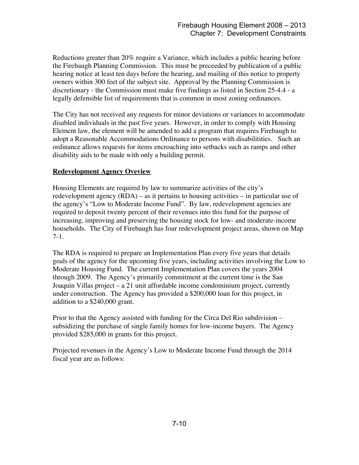Reductions greater than 20% require a Variance, which includes a public hearing before the Firebaugh Planning Commission. This must be preceeded by publication of a public hearing notice at least ten days before the hearing, and mailing of this notice to property owners within 300 feet of the subject site. Approval by the Planning Commission is discretionary - the Commission must make five findings as listed in Section 25-4.4 - a legally defensible list of requirements that is common in most zoning ordinances.

The City has not received any requests for minor deviations or variances to accommodate disabled individuals in the past five years. However, in order to comply with Housing Element law, the element will be amended to add a program that requires Firebaugh to adopt a Reasonable Accommodations Ordinance to persons with disabilitities. Such an ordinance allows requests for items encroaching into setbacks such as ramps and other disability aids to be made with only a building permit.

## **Redevelopment Agency Oveview**

Housing Elements are required by law to summarize activities of the city's redevelopment agency (RDA) – as it pertains to housing activities – in particular use of the agency's "Low to Moderate Income Fund". By law, redevelopment agencies are required to deposit twenty percent of their revenues into this fund for the purpose of increasing, improving and preserving the housing stock for low- and moderate-income households. The City of Firebaugh has four redevelopment project areas, shown on Map 7-1.

The RDA is required to prepare an Implementation Plan every five years that details goals of the agency for the upcoming five years, including activities involving the Low to Moderate Housing Fund. The current Implementation Plan covers the years 2004 through 2009. The Agency's primarily commitment at the current time is the San Joaquin Villas project – a 21 unit affordable income condominium project, currently under construction. The Agency has provided a \$200,000 loan for this project, in addition to a \$240,000 grant.

Prior to that the Agency assisted with funding for the Circa Del Rio subdivision – subsidizing the purchase of single family homes for low-income buyers. The Agency provided \$285,000 in grants for this project.

Projected revenues in the Agency's Low to Moderate Income Fund through the 2014 fiscal year are as follows: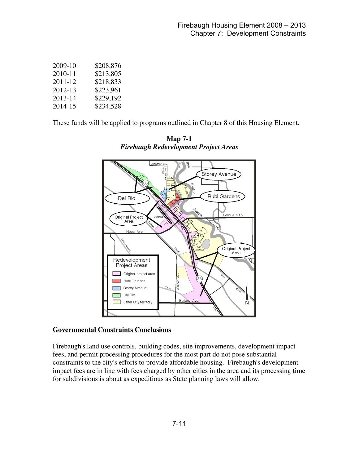| 2009-10 | \$208,876 |
|---------|-----------|
| 2010-11 | \$213,805 |
| 2011-12 | \$218,833 |
| 2012-13 | \$223,961 |
| 2013-14 | \$229,192 |
| 2014-15 | \$234,528 |

These funds will be applied to programs outlined in Chapter 8 of this Housing Element.



**Map 7-1** *Firebaugh Redevelopment Project Areas*

# **Governmental Constraints Conclusions**

Firebaugh's land use controls, building codes, site improvements, development impact fees, and permit processing procedures for the most part do not pose substantial constraints to the city's efforts to provide affordable housing. Firebaugh's development impact fees are in line with fees charged by other cities in the area and its processing time for subdivisions is about as expeditious as State planning laws will allow.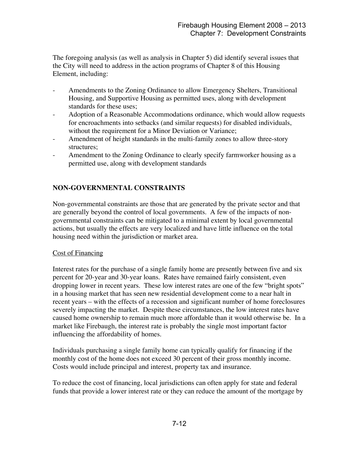The foregoing analysis (as well as analysis in Chapter 5) did identify several issues that the City will need to address in the action programs of Chapter 8 of this Housing Element, including:

- Amendments to the Zoning Ordinance to allow Emergency Shelters, Transitional Housing, and Supportive Housing as permitted uses, along with development standards for these uses;
- Adoption of a Reasonable Accommodations ordinance, which would allow requests for encroachments into setbacks (and similar requests) for disabled individuals, without the requirement for a Minor Deviation or Variance;
- Amendment of height standards in the multi-family zones to allow three-story structures;
- Amendment to the Zoning Ordinance to clearly specify farmworker housing as a permitted use, along with development standards

# **NON-GOVERNMENTAL CONSTRAINTS**

Non-governmental constraints are those that are generated by the private sector and that are generally beyond the control of local governments. A few of the impacts of nongovernmental constraints can be mitigated to a minimal extent by local governmental actions, but usually the effects are very localized and have little influence on the total housing need within the jurisdiction or market area.

## Cost of Financing

Interest rates for the purchase of a single family home are presently between five and six percent for 20-year and 30-year loans. Rates have remained fairly consistent, even dropping lower in recent years. These low interest rates are one of the few "bright spots" in a housing market that has seen new residential development come to a near halt in recent years – with the effects of a recession and significant number of home foreclosures severely impacting the market. Despite these circumstances, the low interest rates have caused home ownership to remain much more affordable than it would otherwise be. In a market like Firebaugh, the interest rate is probably the single most important factor influencing the affordability of homes.

Individuals purchasing a single family home can typically qualify for financing if the monthly cost of the home does not exceed 30 percent of their gross monthly income. Costs would include principal and interest, property tax and insurance.

To reduce the cost of financing, local jurisdictions can often apply for state and federal funds that provide a lower interest rate or they can reduce the amount of the mortgage by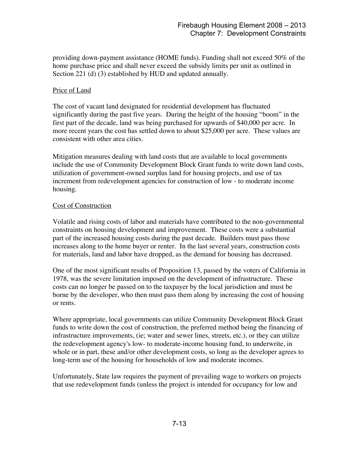providing down-payment assistance (HOME funds). Funding shall not exceed 50% of the home purchase price and shall never exceed the subsidy limits per unit as outlined in Section 221 (d) (3) established by HUD and updated annually.

## Price of Land

The cost of vacant land designated for residential development has fluctuated significantly during the past five years. During the height of the housing "boom" in the first part of the decade, land was being purchased for upwards of \$40,000 per acre. In more recent years the cost has settled down to about \$25,000 per acre. These values are consistent with other area cities.

Mitigation measures dealing with land costs that are available to local governments include the use of Community Development Block Grant funds to write down land costs, utilization of government-owned surplus land for housing projects, and use of tax increment from redevelopment agencies for construction of low - to moderate income housing.

## Cost of Construction

Volatile and rising costs of labor and materials have contributed to the non-governmental constraints on housing development and improvement. These costs were a substantial part of the increased housing costs during the past decade. Builders must pass those increases along to the home buyer or renter. In the last several years, construction costs for materials, land and labor have dropped, as the demand for housing has decreased.

One of the most significant results of Proposition 13, passed by the voters of California in 1978, was the severe limitation imposed on the development of infrastructure. These costs can no longer be passed on to the taxpayer by the local jurisdiction and must be borne by the developer, who then must pass them along by increasing the cost of housing or rents.

Where appropriate, local governments can utilize Community Development Block Grant funds to write down the cost of construction, the preferred method being the financing of infrastructure improvements, (ie; water and sewer lines, streets, etc.), or they can utilize the redevelopment agency's low- to moderate-income housing fund, to underwrite, in whole or in part, these and/or other development costs, so long as the developer agrees to long-term use of the housing for households of low and moderate incomes.

Unfortunately, State law requires the payment of prevailing wage to workers on projects that use redevelopment funds (unless the project is intended for occupancy for low and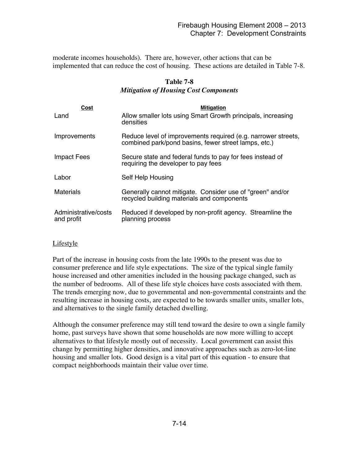moderate incomes households). There are, however, other actions that can be implemented that can reduce the cost of housing. These actions are detailed in Table 7-8.

## **Table 7-8**

## *Mitigation of Housing Cost Components*

| Cost                               | <b>Mitigation</b>                                                                                                     |
|------------------------------------|-----------------------------------------------------------------------------------------------------------------------|
| Land                               | Allow smaller lots using Smart Growth principals, increasing<br>densities                                             |
| Improvements                       | Reduce level of improvements required (e.g. narrower streets,<br>combined park/pond basins, fewer street lamps, etc.) |
| Impact Fees                        | Secure state and federal funds to pay for fees instead of<br>requiring the developer to pay fees                      |
| Labor                              | Self Help Housing                                                                                                     |
| <b>Materials</b>                   | Generally cannot mitigate. Consider use of "green" and/or<br>recycled building materials and components               |
| Administrative/costs<br>and profit | Reduced if developed by non-profit agency. Streamline the<br>planning process                                         |

## **Lifestyle**

Part of the increase in housing costs from the late 1990s to the present was due to consumer preference and life style expectations. The size of the typical single family house increased and other amenities included in the housing package changed, such as the number of bedrooms. All of these life style choices have costs associated with them. The trends emerging now, due to governmental and non-governmental constraints and the resulting increase in housing costs, are expected to be towards smaller units, smaller lots, and alternatives to the single family detached dwelling.

Although the consumer preference may still tend toward the desire to own a single family home, past surveys have shown that some households are now more willing to accept alternatives to that lifestyle mostly out of necessity. Local government can assist this change by permitting higher densities, and innovative approaches such as zero-lot-line housing and smaller lots. Good design is a vital part of this equation - to ensure that compact neighborhoods maintain their value over time.